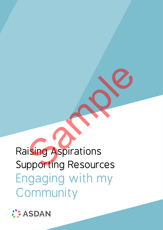# Raising Aspirations Supporting Resources Engaging with my Community Sample Terms<br>Sample Terms<br>Sample Terms<br>Sample Terms<br>Sample Terms<br>Sample Terms<br>Sample Terms<br>Sample Terms<br>Sample Terms<br>Sample Terms<br>Sample Terms<br>Sample Terms<br>Sample Terms<br>Sample Terms<br>Sample Terms<br>Sample Terms<br>Sample Terms<br>S

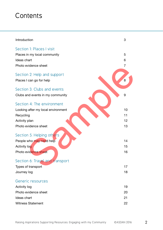# **Contents**

| Introduction                       | 3              |
|------------------------------------|----------------|
| Section 1: Places I visit          |                |
| Places in my local community       | 5              |
| Ideas chart                        | 6              |
| Photo evidence sheet               | $\overline{7}$ |
| Section 2: Help and support        |                |
| Places I can go for help           | 8              |
| Section 3: Clubs and events        |                |
| Clubs and events in my community   | 9              |
| Section 4: The environment         |                |
| Looking after my local environment | 10             |
| Recycling                          | 11             |
| Activity plan                      | 12             |
| Photo evidence sheet               | 13             |
| Section 5: Helping others          |                |
| People who may need help           | 14             |
| <b>Activity log</b>                | 15             |
| Photo evidence sheet               | 16             |
| Section 6: Travel and transport    |                |
| Types of transport                 | 17             |
| Journey log                        | 18             |
| Generic resources                  |                |
| <b>Activity log</b>                | 19             |
| Photo evidence sheet               | 20             |
| Ideas chart                        | 21             |
| <b>Witness Statement</b>           | 22             |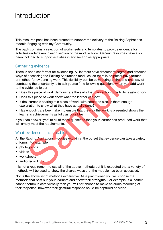# Introduction

This resource pack has been created to support the delivery of the Raising Aspirations module Engaging with my Community.

The pack contains a selection of worksheets and templates to provide evidence for activities undertaken in each section of the module book. Generic resources have also been included to support activities in any section as appropriate.

#### Gathering evidence

There is not a set format for evidencing. All learners have different strengths and different ways of accessing the Raising Aspirations modules, so there is no prescriptive format or method for evidencing work. This flexibility can be bewildering at first and one way of combating the uncertainty is to ask yourself the following questions when you add work to the evidence folder: ring evidence<br>
is not a set format for evidencing. All learners have different strengths and d<br>
in a coessing the Raising Aspirations modules, so there is no prescriptive for<br>
faccessing the Raising Aspirations modules, so

- Does this piece of work demonstrate the skills that the section or activity is asking for?
- Does this piece of work show what the learner can do?
- If the learner is sharing this piece of work with someone else, is there enough explanation to show what they have actually done?
- Has enough care been taken to ensure that the way the work is presented shows the learner's achievements as fully as possible?

If you can answer 'yes' to all of these questions then your learner has produced work that will amply meet the requirements.

#### What evidence is acceptable?

All the Raising Aspirations modules explain at the outset that evidence can take a variety of forms. For example:

- photographs
- videos
- worksheets
- audio recordings

It is not a requirement to use all of the above methods but it is expected that a variety of methods will be used to show the diverse ways that the module has been accessed.

Nor is the above list of methods exhaustive. As a practitioner, you will choose the methods that best suit your learners and show their strengths. For example, if a learner cannot communicate verbally then you will not choose to make an audio recording of their response, however their gestural response could be captured on video.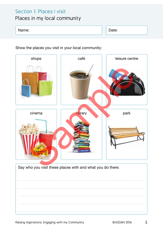## Section 1: Places I visit Places in my local community

#### Name: Name: Name: Name: Name: Name: Name: Name: Name: Name: Name: Name: Name: Name: Name: Name: Name: Name: Na

Show the places you visit in your local community:



Raising Aspirations: Engaging with my Community **Example 2016** 6 CASDAN 2016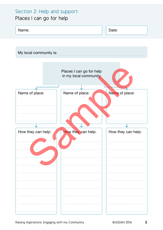## Section 2: Help and support Places I can go for help

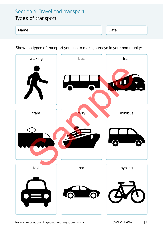## Section 6: Travel and transport Types of transport

#### Name: Date: Date: Date: Date: Date: Date: Date: Date: Date: Date: Date: Date: Date: Date: Date: Date: Date: Date: Date: Date: Date: Date: Date: Date: Date: Date: Date: Date: Date: Date: Date: Date: Date: Date: Date: Date:

Show the types of transport you use to make journeys in your community:



Raising Aspirations: Engaging with my Community **Engine COMS CONTENTS 1988** CASDAN 2016 17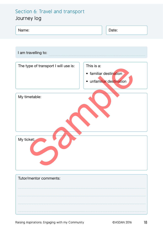## Section 6: Travel and transport Journey log

| Name:                                | Date:                                                            |  |
|--------------------------------------|------------------------------------------------------------------|--|
|                                      |                                                                  |  |
| I am travelling to:                  |                                                                  |  |
| The type of transport I will use is: | This is a:<br>• familiar destination<br>• unfamiliar destination |  |
| My timetable:                        |                                                                  |  |
| My ticket:                           |                                                                  |  |
| Tutor/mentor comments:               |                                                                  |  |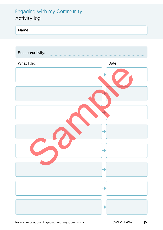## Engaging with my Community Activity log